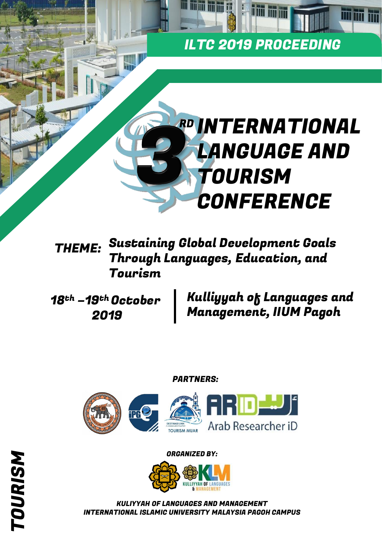# ILTC 2019 PROCEEDING

**THE THE THE THE THE** 

# RD **INTERNATIONAL** LANGUAGE AND TOURISM **CONFERENCE**

## Sustaining Global Development Goals Through Languages, Education, and Tourism THEME:

18th –19th October 2019

Kulliyyah of Languages and Management, IIUM Pagoh

## PARTNERS:



## ORGANIZED BY:



KULIYYAH OF LANGUAGES AND MANAGEMENT INTERNATIONAL ISLAMIC UNIVERSITY MALAYSIA PAGOH CAMPUS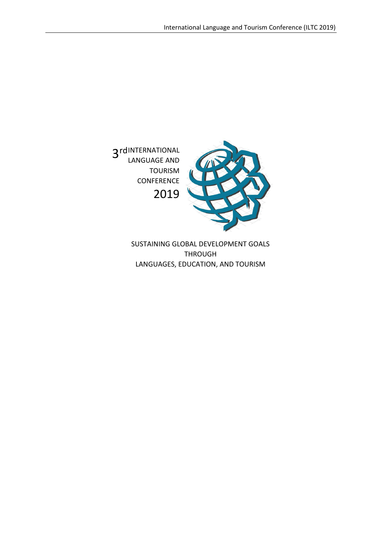

SUSTAINING GLOBAL DEVELOPMENT GOALS THROUGH LANGUAGES, EDUCATION, AND TOURISM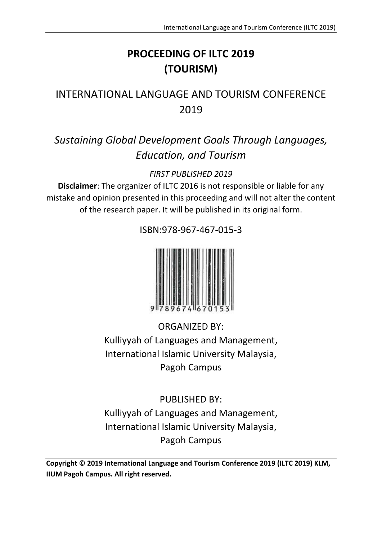# **PROCEEDING OF ILTC 2019 (TOURISM)**

# INTERNATIONAL LANGUAGE AND TOURISM CONFERENCE 2019

# *Sustaining Global Development Goals Through Languages, Education, and Tourism*

*FIRST PUBLISHED 2019*

**Disclaimer**: The organizer of ILTC 2016 is not responsible or liable for any mistake and opinion presented in this proceeding and will not alter the content of the research paper. It will be published in its original form.



ISBN:978-967-467-015-3

ORGANIZED BY: Kulliyyah of Languages and Management, International Islamic University Malaysia, Pagoh Campus

PUBLISHED BY: Kulliyyah of Languages and Management, International Islamic University Malaysia, Pagoh Campus

**Copyright © 2019 International Language and Tourism Conference 2019 (ILTC 2019) KLM, IIUM Pagoh Campus. All right reserved.**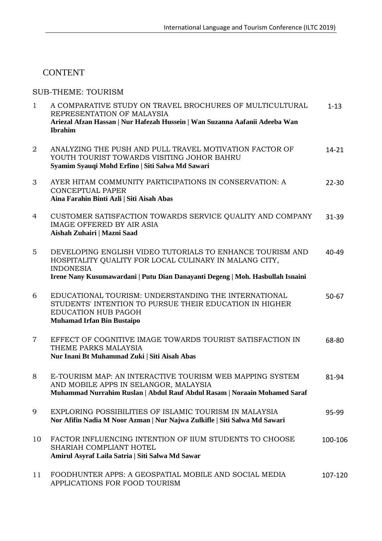## **CONTENT**

#### SUB-THEME: TOURISM

| $\mathbf{1}$   | A COMPARATIVE STUDY ON TRAVEL BROCHURES OF MULTICULTURAL<br>REPRESENTATION OF MALAYSIA<br>Ariezal Afzan Hassan   Nur Hafezah Hussein   Wan Suzanna Aafanii Adeeba Wan<br><b>Ibrahim</b> | $1 - 13$  |
|----------------|-----------------------------------------------------------------------------------------------------------------------------------------------------------------------------------------|-----------|
| $\overline{2}$ | ANALYZING THE PUSH AND PULL TRAVEL MOTIVATION FACTOR OF<br>YOUTH TOURIST TOWARDS VISITING JOHOR BAHRU<br>Syamim Syauqi Mohd Erfino   Siti Salwa Md Sawari                               | $14 - 21$ |
| 3              | AYER HITAM COMMUNITY PARTICIPATIONS IN CONSERVATION: A<br><b>CONCEPTUAL PAPER</b><br>Aina Farahin Binti Azli   Siti Aisah Abas                                                          | $22 - 30$ |
| 4              | CUSTOMER SATISFACTION TOWARDS SERVICE QUALITY AND COMPANY<br><b>IMAGE OFFERED BY AIR ASIA</b><br>Aishah Zuhairi   Mazni Saad                                                            | $31 - 39$ |
| 5              | DEVELOPING ENGLISH VIDEO TUTORIALS TO ENHANCE TOURISM AND<br>HOSPITALITY QUALITY FOR LOCAL CULINARY IN MALANG CITY,<br><b>INDONESIA</b>                                                 | 40-49     |
|                | Irene Nany Kusumawardani   Putu Dian Danayanti Degeng   Moh. Hasbullah Isnaini                                                                                                          |           |
| 6              | EDUCATIONAL TOURISM: UNDERSTANDING THE INTERNATIONAL<br>STUDENTS' INTENTION TO PURSUE THEIR EDUCATION IN HIGHER<br>EDUCATION HUB PAGOH<br><b>Muhamad Irfan Bin Bustaipo</b>             | $50 - 67$ |
| $\overline{7}$ | EFFECT OF COGNITIVE IMAGE TOWARDS TOURIST SATISFACTION IN<br>THEME PARKS MALAYSIA<br>Nur Inani Bt Muhammad Zuki   Siti Aisah Abas                                                       | 68-80     |
| 8              | E-TOURISM MAP: AN INTERACTIVE TOURISM WEB MAPPING SYSTEM<br>AND MOBILE APPS IN SELANGOR, MALAYSIA<br>Muhammad Nurrahim Ruslan   Abdul Rauf Abdul Rasam   Noraain Mohamed Saraf          | 81-94     |
| 9              | EXPLORING POSSIBILITIES OF ISLAMIC TOURISM IN MALAYSIA<br>Nor Afifin Nadia M Noor Azman   Nur Najwa Zulkifle   Siti Salwa Md Sawari                                                     | 95-99     |
| 10             | FACTOR INFLUENCING INTENTION OF IIUM STUDENTS TO CHOOSE<br>SHARIAH COMPLIANT HOTEL<br>Amirul Asyraf Laila Satria   Siti Salwa Md Sawar                                                  | 100-106   |
| 11             | FOODHUNTER APPS: A GEOSPATIAL MOBILE AND SOCIAL MEDIA<br>APPLICATIONS FOR FOOD TOURISM                                                                                                  | 107-120   |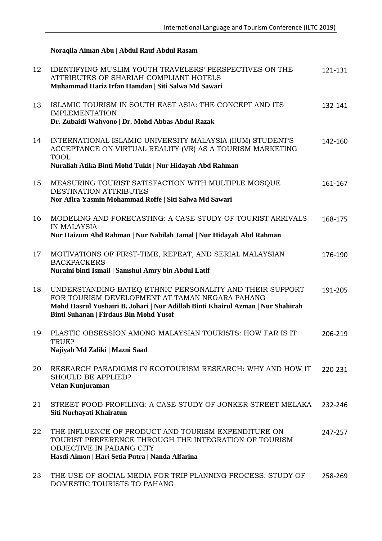#### **Noraqila Aiman Abu | Abdul Rauf Abdul Rasam**

DOMESTIC TOURISTS TO PAHANG

| 12 | <b>IDENTIFYING MUSLIM YOUTH TRAVELERS' PERSPECTIVES ON THE</b><br>ATTRIBUTES OF SHARIAH COMPLIANT HOTELS<br>Muhammad Hariz Irfan Hamdan   Siti Salwa Md Sawari                                                                          | 121-131 |
|----|-----------------------------------------------------------------------------------------------------------------------------------------------------------------------------------------------------------------------------------------|---------|
| 13 | ISLAMIC TOURISM IN SOUTH EAST ASIA: THE CONCEPT AND ITS<br><b>IMPLEMENTATION</b><br>Dr. Zubaidi Wahyono   Dr. Mohd Abbas Abdul Razak                                                                                                    | 132-141 |
| 14 | INTERNATIONAL ISLAMIC UNIVERSITY MALAYSIA (IIUM) STUDENT'S<br>ACCEPTANCE ON VIRTUAL REALITY (VR) AS A TOURISM MARKETING<br><b>TOOL</b><br>Nuraliah Atika Binti Mohd Tukit   Nur Hidayah Abd Rahman                                      | 142-160 |
| 15 | MEASURING TOURIST SATISFACTION WITH MULTIPLE MOSQUE<br>DESTINATION ATTRIBUTES<br>Nor Afira Yasmin Mohammad Roffe   Siti Salwa Md Sawari                                                                                                 | 161-167 |
| 16 | MODELING AND FORECASTING: A CASE STUDY OF TOURIST ARRIVALS<br><b>IN MALAYSIA</b><br>Nur Haizum Abd Rahman   Nur Nabilah Jamal   Nur Hidayah Abd Rahman                                                                                  | 168-175 |
| 17 | MOTIVATIONS OF FIRST-TIME, REPEAT, AND SERIAL MALAYSIAN<br><b>BACKPACKERS</b><br>Nuraini binti Ismail   Samshul Amry bin Abdul Latif                                                                                                    | 176-190 |
| 18 | UNDERSTANDING BATEQ ETHNIC PERSONALITY AND THEIR SUPPORT<br>FOR TOURISM DEVELOPMENT AT TAMAN NEGARA PAHANG<br>Mohd Hasrul Yushairi B. Johari   Nur Adillah Binti Khairul Azman   Nur Shahirah<br>Binti Suhanan   Firdaus Bin Mohd Yusof | 191-205 |
| 19 | PLASTIC OBSESSION AMONG MALAYSIAN TOURISTS: HOW FAR IS IT<br>TRUE?<br>Najiyah Md Zaliki   Mazni Saad                                                                                                                                    | 206-219 |
| 20 | RESEARCH PARADIGMS IN ECOTOURISM RESEARCH: WHY AND HOW IT<br>SHOULD BE APPLIED?<br>Velan Kunjuraman                                                                                                                                     | 220-231 |
| 21 | STREET FOOD PROFILING: A CASE STUDY OF JONKER STREET MELAKA<br>Siti Nurhayati Khairatun                                                                                                                                                 | 232-246 |
| 22 | THE INFLUENCE OF PRODUCT AND TOURISM EXPENDITURE ON<br>TOURIST PREFERENCE THROUGH THE INTEGRATION OF TOURISM<br>OBJECTIVE IN PADANG CITY<br>Hasdi Aimon   Hari Setia Putra   Nanda Alfarina                                             | 247-257 |
| 23 | THE USE OF SOCIAL MEDIA FOR TRIP PLANNING PROCESS: STUDY OF                                                                                                                                                                             | 258-269 |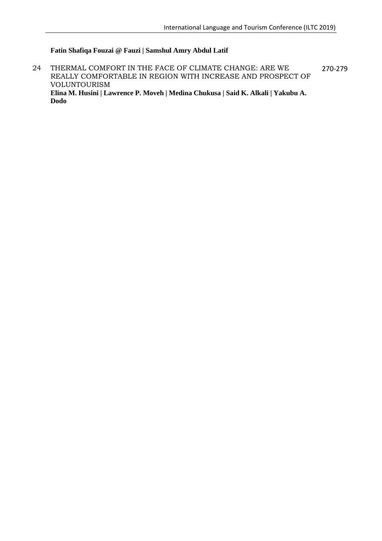#### **Fatin Shafiqa Fouzai @ Fauzi | Samshul Amry Abdul Latif**

24 THERMAL COMFORT IN THE FACE OF CLIMATE CHANGE: ARE WE REALLY COMFORTABLE IN REGION WITH INCREASE AND PROSPECT OF VOLUNTOURISM **Elina M. Husini | Lawrence P. Moveh | Medina Chukusa | Said K. Alkali | Yakubu A. Dodo** 270-279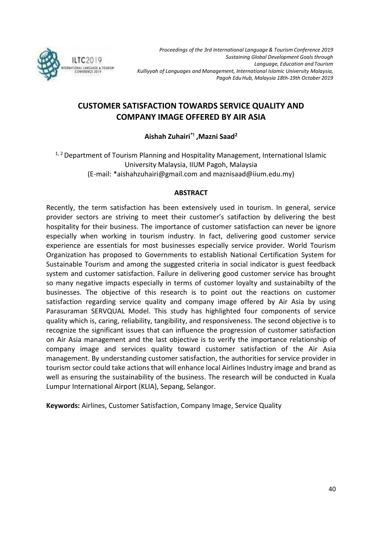

## **CUSTOMER SATISFACTION TOWARDS SERVICE QUALITY AND COMPANY IMAGE OFFERED BY AIR ASIA**

**Aishah Zuhairi\*! ,Mazni Saad<sup>2</sup>**

<sup>1, 2</sup> Department of Tourism Planning and Hospitality Management, International Islamic University Malaysia, IIUM Pagoh, Malaysia (E-mail: \*aishahzuhairi@gmail.com and maznisaad@iium.edu.my)

#### **ABSTRACT**

Recently, the term satisfaction has been extensively used in tourism. In general, service provider sectors are striving to meet their customer's satifaction by delivering the best hospitality for their business. The importance of customer satisfaction can never be ignore especially when working in tourism industry. In fact, delivering good customer service experience are essentials for most businesses especially service provider. World Tourism Organization has proposed to Governments to establish National Certification System for Sustainable Tourism and among the suggested criteria in social indicator is guest feedback system and customer satisfaction. Failure in delivering good customer service has brought so many negative impacts especially in terms of customer loyalty and sustainabilty of the businesses. The objective of this research is to point out the reactions on customer satisfaction regarding service quality and company image offered by Air Asia by using Parasuraman SERVQUAL Model. This study has highlighted four components of service quality which is, caring, reliability, tangibility, and responsiveness. The second objective is to recognize the significant issues that can influence the progression of customer satisfaction on Air Asia management and the last objective is to verify the importance relationship of company image and services quality toward customer satisfaction of the Air Asia management. By understanding customer satisfaction, the authorities for service provider in tourism sector could take actions that will enhance local Airlines Industry image and brand as well as ensuring the sustainability of the business. The research will be conducted in Kuala Lumpur International Airport (KLIA), Sepang, Selangor.

**Keywords:** Airlines, Customer Satisfaction, Company Image, Service Quality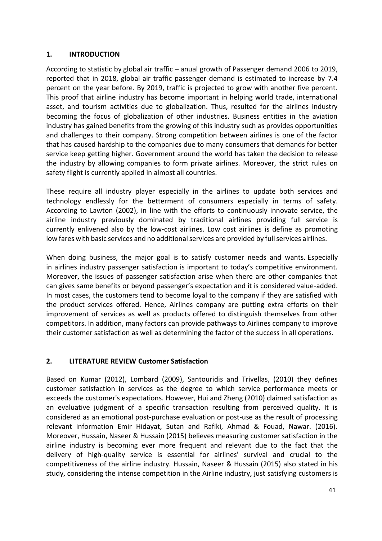#### **1. INTRODUCTION**

According to statistic by global air traffic – anual growth of Passenger demand 2006 to 2019, reported that in 2018, global air traffic passenger demand is estimated to increase by 7.4 percent on the year before. By 2019, traffic is projected to grow with another five percent. This proof that airline industry has become important in helping world trade, international asset, and tourism activities due to globalization. Thus, resulted for the airlines industry becoming the focus of globalization of other industries. Business entities in the aviation industry has gained benefits from the growing of this industry such as provides opportunities and challenges to their company. Strong competition between airlines is one of the factor that has caused hardship to the companies due to many consumers that demands for better service keep getting higher. Government around the world has taken the decision to release the industry by allowing companies to form private airlines. Moreover, the strict rules on safety flight is currently applied in almost all countries.

These require all industry player especially in the airlines to update both services and technology endlessly for the betterment of consumers especially in terms of safety. According to Lawton (2002), in line with the efforts to continuously innovate service, the airline industry previously dominated by traditional airlines providing full service is currently enlivened also by the low-cost airlines. Low cost airlines is define as promoting low fares with basic services and no additional services are provided by full services airlines.

When doing business, the major goal is to satisfy customer needs and wants. Especially in airlines industry passenger satisfaction is important to today's competitive environment. Moreover, the issues of passenger satisfaction arise when there are other companies that can gives same benefits or beyond passenger's expectation and it is considered value-added. In most cases, the customers tend to become loyal to the company if they are satisfied with the product services offered. Hence, Airlines company are putting extra efforts on their improvement of services as well as products offered to distinguish themselves from other competitors. In addition, many factors can provide pathways to Airlines company to improve their customer satisfaction as well as determining the factor of the success in all operations.

#### **2. LITERATURE REVIEW Customer Satisfaction**

Based on Kumar (2012), Lombard (2009), Santouridis and Trivellas, (2010) they defines customer satisfaction in services as the degree to which service performance meets or exceeds the customer's expectations. However, Hui and Zheng (2010) claimed satisfaction as an evaluative judgment of a specific transaction resulting from perceived quality. It is considered as an emotional post-purchase evaluation or post-use as the result of processing relevant information Emir Hidayat, Sutan and Rafiki, Ahmad & Fouad, Nawar. (2016). Moreover, Hussain, Naseer & Hussain (2015) believes measuring customer satisfaction in the airline industry is becoming ever more frequent and relevant due to the fact that the delivery of high-quality service is essential for airlines' survival and crucial to the competitiveness of the airline industry. Hussain, Naseer & Hussain (2015) also stated in his study, considering the intense competition in the Airline industry, just satisfying customers is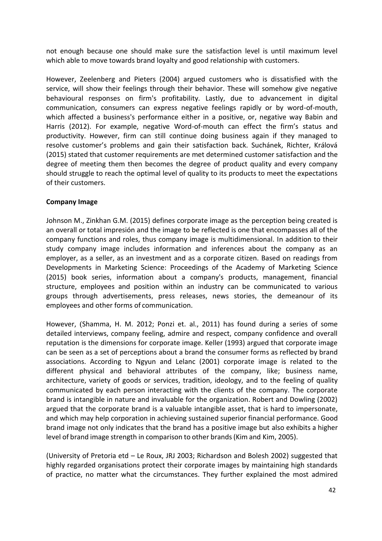not enough because one should make sure the satisfaction level is until maximum level which able to move towards brand loyalty and good relationship with customers.

However, Zeelenberg and Pieters (2004) argued customers who is dissatisfied with the service, will show their feelings through their behavior. These will somehow give negative behavioural responses on firm's profitability. Lastly, due to advancement in digital communication, consumers can express negative feelings rapidly or by word-of-mouth, which affected a business's performance either in a positive, or, negative way Babin and Harris (2012). For example, negative Word-of-mouth can effect the firm's status and productivity. However, firm can still continue doing business again if they managed to resolve customer's problems and gain their satisfaction back. Suchánek, Richter, Králová (2015) stated that customer requirements are met determined customer satisfaction and the degree of meeting them then becomes the degree of product quality and every company should struggle to reach the optimal level of quality to its products to meet the expectations of their customers.

#### **Company Image**

Johnson M., Zinkhan G.M. (2015) defines corporate image as the perception being created is an overall or total impresión and the image to be reflected is one that encompasses all of the company functions and roles, thus company image is multidimensional. In addition to their study company image includes information and inferences about the company as an employer, as a seller, as an investment and as a corporate citizen. Based on readings from Developments in Marketing Science: Proceedings of the Academy of Marketing Science (2015) book series, information about a company's products, management, financial structure, employees and position within an industry can be communicated to various groups through advertisements, press releases, news stories, the demeanour of its employees and other forms of communication.

However, (Shamma, H. M. 2012; Ponzi et. al., 2011) has found during a series of some detailed interviews, company feeling, admire and respect, company confidence and overall reputation is the dimensions for corporate image. Keller (1993) argued that corporate image can be seen as a set of perceptions about a brand the consumer forms as reflected by brand associations. According to Ngyun and Lelanc (2001) corporate image is related to the different physical and behavioral attributes of the company, like; business name, architecture, variety of goods or services, tradition, ideology, and to the feeling of quality communicated by each person interacting with the clients of the company. The corporate brand is intangible in nature and invaluable for the organization. Robert and Dowling (2002) argued that the corporate brand is a valuable intangible asset, that is hard to impersonate, and which may help corporation in achieving sustained superior financial performance. Good brand image not only indicates that the brand has a positive image but also exhibits a higher level of brand image strength in comparison to other brands(Kim and Kim, 2005).

(University of Pretoria etd – Le Roux, JRJ 2003; Richardson and Bolesh 2002) suggested that highly regarded organisations protect their corporate images by maintaining high standards of practice, no matter what the circumstances. They further explained the most admired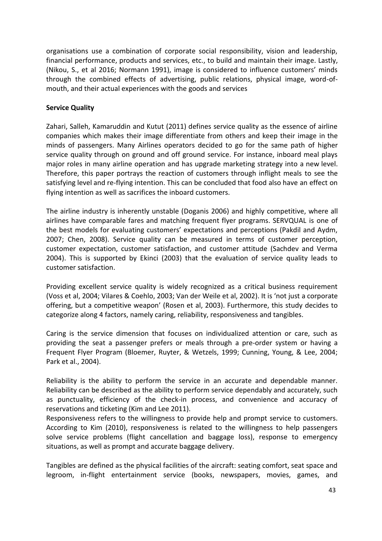organisations use a combination of corporate social responsibility, vision and leadership, financial performance, products and services, etc., to build and maintain their image. Lastly, (Nikou, S., et al 2016; Normann 1991), image is considered to influence customers' minds through the combined effects of advertising, public relations, physical image, word-ofmouth, and their actual experiences with the goods and services

#### **Service Quality**

Zahari, Salleh, Kamaruddin and Kutut (2011) defines service quality as the essence of airline companies which makes their image differentiate from others and keep their image in the minds of passengers. Many Airlines operators decided to go for the same path of higher service quality through on ground and off ground service. For instance, inboard meal plays major roles in many airline operation and has upgrade marketing strategy into a new level. Therefore, this paper portrays the reaction of customers through inflight meals to see the satisfying level and re-flying intention. This can be concluded that food also have an effect on flying intention as well as sacrifices the inboard customers.

The airline industry is inherently unstable (Doganis 2006) and highly competitive, where all airlines have comparable fares and matching frequent flyer programs. SERVQUAL is one of the best models for evaluating customers' expectations and perceptions (Pakdil and Aydm, 2007; Chen, 2008). Service quality can be measured in terms of customer perception, customer expectation, customer satisfaction, and customer attitude (Sachdev and Verma 2004). This is supported by Ekinci (2003) that the evaluation of service quality leads to customer satisfaction.

Providing excellent service quality is widely recognized as a critical business requirement (Voss et al, 2004; Vilares & Coehlo, 2003; Van der Weile et al, 2002). It is 'not just a corporate offering, but a competitive weapon' (Rosen et al, 2003). Furthermore, this study decides to categorize along 4 factors, namely caring, reliability, responsiveness and tangibles.

Caring is the service dimension that focuses on individualized attention or care, such as providing the seat a passenger prefers or meals through a pre-order system or having a Frequent Flyer Program (Bloemer, Ruyter, & Wetzels, 1999; Cunning, Young, & Lee, 2004; Park et al., 2004).

Reliability is the ability to perform the service in an accurate and dependable manner. Reliability can be described as the ability to perform service dependably and accurately, such as punctuality, efficiency of the check-in process, and convenience and accuracy of reservations and ticketing (Kim and Lee 2011).

Responsiveness refers to the willingness to provide help and prompt service to customers. According to Kim (2010), responsiveness is related to the willingness to help passengers solve service problems (flight cancellation and baggage loss), response to emergency situations, as well as prompt and accurate baggage delivery.

Tangibles are defined as the physical facilities of the aircraft: seating comfort, seat space and legroom, in-flight entertainment service (books, newspapers, movies, games, and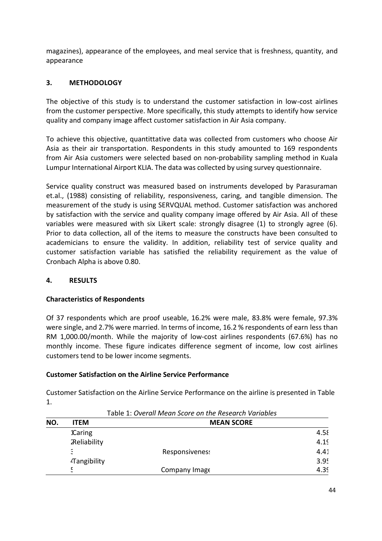magazines), appearance of the employees, and meal service that is freshness, quantity, and appearance

#### **3. METHODOLOGY**

The objective of this study is to understand the customer satisfaction in low-cost airlines from the customer perspective. More specifically, this study attempts to identify how service quality and company image affect customer satisfaction in Air Asia company.

To achieve this objective, quantittative data was collected from customers who choose Air Asia as their air transportation. Respondents in this study amounted to 169 respondents from Air Asia customers were selected based on non-probability sampling method in Kuala Lumpur International Airport KLIA. The data was collected by using survey questionnaire.

Service quality construct was measured based on instruments developed by Parasuraman et.al., (1988) consisting of reliability, responsiveness, caring, and tangible dimension. The measurement of the study is using SERVQUAL method. Customer satisfaction was anchored by satisfaction with the service and quality company image offered by Air Asia. All of these variables were measured with six Likert scale: strongly disagree (1) to strongly agree (6). Prior to data collection, all of the items to measure the constructs have been consulted to academicians to ensure the validity. In addition, reliability test of service quality and customer satisfaction variable has satisfied the reliability requirement as the value of Cronbach Alpha is above 0.80.

#### **4. RESULTS**

#### **Characteristics of Respondents**

Of 37 respondents which are proof useable, 16.2% were male, 83.8% were female, 97.3% were single, and 2.7% were married. In terms of income, 16.2 % respondents of earn less than RM 1,000.00/month. While the majority of low-cost airlines respondents (67.6%) has no monthly income. These figure indicates difference segment of income, low cost airlines customers tend to be lower income segments.

#### **Customer Satisfaction on the Airline Service Performance**

Customer Satisfaction on the Airline Service Performance on the airline is presented in Table 1.

Table 1: *Overall Mean Score on the Research Variables*

| NO. | <b>ITEM</b>         | <b>MEAN SCORE</b> |      |
|-----|---------------------|-------------------|------|
|     | <b>1Caring</b>      |                   | 4.58 |
|     | <b>ZReliability</b> |                   | 4.19 |
|     | E                   | Responsiveness    | 4.41 |
|     | Tangibility         |                   | 3.95 |
|     | E,<br>$\sim$        | Company Image     | 4.39 |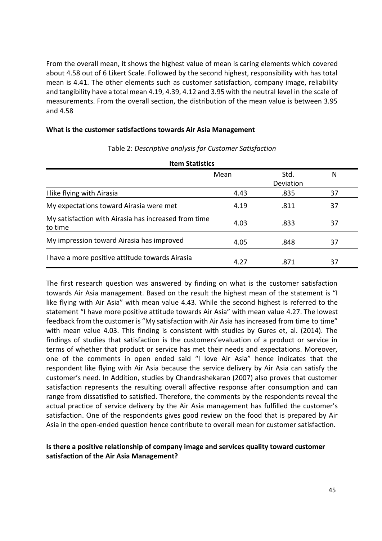From the overall mean, it shows the highest value of mean is caring elements which covered about 4.58 out of 6 Likert Scale. Followed by the second highest, responsibility with has total mean is 4.41. The other elements such as customer satisfaction, company image, reliability and tangibility have a total mean 4.19, 4.39, 4.12 and 3.95 with the neutral level in the scale of measurements. From the overall section, the distribution of the mean value is between 3.95 and 4.58

#### **What is the customer satisfactions towards Air Asia Management**

| <b>Item Statistics</b>                                          |      |                   |    |  |  |  |
|-----------------------------------------------------------------|------|-------------------|----|--|--|--|
|                                                                 | Mean | Std.<br>Deviation | N  |  |  |  |
| I like flying with Airasia                                      | 4.43 | .835              | 37 |  |  |  |
| My expectations toward Airasia were met                         | 4.19 | .811              | 37 |  |  |  |
| My satisfaction with Airasia has increased from time<br>to time | 4.03 | .833              | 37 |  |  |  |
| My impression toward Airasia has improved                       | 4.05 | .848              | 37 |  |  |  |
| I have a more positive attitude towards Airasia                 | 4.27 | .871              | 37 |  |  |  |

#### Table 2: *Descriptive analysis for Customer Satisfaction*

The first research question was answered by finding on what is the customer satisfaction towards Air Asia management. Based on the result the highest mean of the statement is "I like flying with Air Asia" with mean value 4.43. While the second highest is referred to the statement "I have more positive attitude towards Air Asia" with mean value 4.27. The lowest feedback from the customer is "My satisfaction with Air Asia has increased from time to time" with mean value 4.03. This finding is consistent with studies by Gures et, al. (2014). The findings of studies that satisfaction is the customers'evaluation of a product or service in terms of whether that product or service has met their needs and expectations. Moreover, one of the comments in open ended said "I love Air Asia" hence indicates that the respondent like flying with Air Asia because the service delivery by Air Asia can satisfy the customer's need. In Addition, studies by Chandrashekaran (2007) also proves that customer satisfaction represents the resulting overall affective response after consumption and can range from dissatisfied to satisfied. Therefore, the comments by the respondents reveal the actual practice of service delivery by the Air Asia management has fulfilled the customer's satisfaction. One of the respondents gives good review on the food that is prepared by Air Asia in the open-ended question hence contribute to overall mean for customer satisfaction.

#### **Is there a positive relationship of company image and services quality toward customer satisfaction of the Air Asia Management?**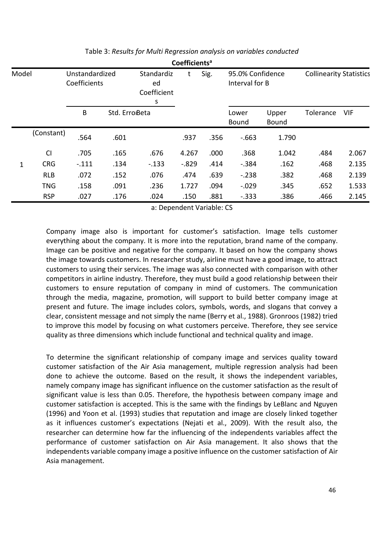|       | Coefficients <sup>a</sup> |                                |      |                                      |         |      |                                    |           |                                |       |
|-------|---------------------------|--------------------------------|------|--------------------------------------|---------|------|------------------------------------|-----------|--------------------------------|-------|
| Model |                           | Unstandardized<br>Coefficients |      | Standardiz<br>ed<br>Coefficient<br>s |         | Sig. | 95.0% Confidence<br>Interval for B |           | <b>Collinearity Statistics</b> |       |
|       |                           | B<br>Std. Erro <sub>Beta</sub> |      | Lower<br><b>Bound</b>                |         |      | Upper<br><b>Bound</b>              | Tolerance | <b>VIF</b>                     |       |
|       | (Constant)                | .564                           | .601 |                                      | .937    | .356 | $-663$                             | 1.790     |                                |       |
|       | CI                        | .705                           | .165 | .676                                 | 4.267   | .000 | .368                               | 1.042     | .484                           | 2.067 |
| 1     | <b>CRG</b>                | $-.111$                        | .134 | $-.133$                              | $-.829$ | .414 | $-.384$                            | .162      | .468                           | 2.135 |
|       | <b>RLB</b>                | .072                           | .152 | .076                                 | .474    | .639 | $-.238$                            | .382      | .468                           | 2.139 |
|       | <b>TNG</b>                | .158                           | .091 | .236                                 | 1.727   | .094 | $-.029$                            | .345      | .652                           | 1.533 |
|       | <b>RSP</b>                | .027                           | .176 | .024                                 | .150    | .881 | $-.333$                            | .386      | .466                           | 2.145 |

Table 3: *Results for Multi Regression analysis on variables conducted*

a: Dependent Variable: CS

Company image also is important for customer's satisfaction. Image tells customer everything about the company. It is more into the reputation, brand name of the company. Image can be positive and negative for the company. It based on how the company shows the image towards customers. In researcher study, airline must have a good image, to attract customers to using their services. The image was also connected with comparison with other competitors in airline industry. Therefore, they must build a good relationship between their customers to ensure reputation of company in mind of customers. The communication through the media, magazine, promotion, will support to build better company image at present and future. The image includes colors, symbols, words, and slogans that convey a clear, consistent message and not simply the name (Berry et al., 1988). Gronroos (1982) tried to improve this model by focusing on what customers perceive. Therefore, they see service quality as three dimensions which include functional and technical quality and image.

To determine the significant relationship of company image and services quality toward customer satisfaction of the Air Asia management, multiple regression analysis had been done to achieve the outcome. Based on the result, it shows the independent variables, namely company image has significant influence on the customer satisfaction as the result of significant value is less than 0.05. Therefore, the hypothesis between company image and customer satisfaction is accepted. This is the same with the findings by LeBlanc and Nguyen (1996) and Yoon et al. (1993) studies that reputation and image are closely linked together as it influences customer's expectations (Nejati et al., 2009). With the result also, the researcher can determine how far the influencing of the independents variables affect the performance of customer satisfaction on Air Asia management. It also shows that the independents variable company image a positive influence on the customer satisfaction of Air Asia management.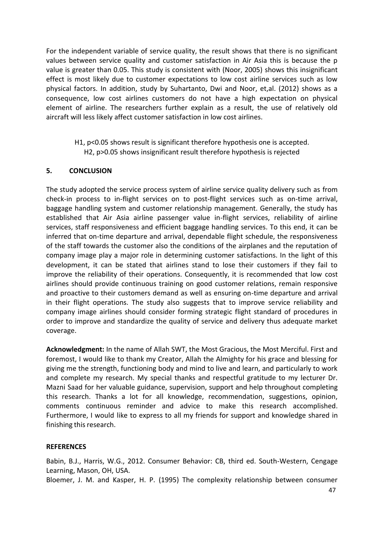For the independent variable of service quality, the result shows that there is no significant values between service quality and customer satisfaction in Air Asia this is because the p value is greater than 0.05. This study is consistent with (Noor, 2005) shows this insignificant effect is most likely due to customer expectations to low cost airline services such as low physical factors. In addition, study by Suhartanto, Dwi and Noor, et,al. (2012) shows as a consequence, low cost airlines customers do not have a high expectation on physical element of airline. The researchers further explain as a result, the use of relatively old aircraft will less likely affect customer satisfaction in low cost airlines.

H1, p<0.05 shows result is significant therefore hypothesis one is accepted. H2, p>0.05 shows insignificant result therefore hypothesis is rejected

#### **5. CONCLUSION**

The study adopted the service process system of airline service quality delivery such as from check-in process to in-flight services on to post-flight services such as on-time arrival, baggage handling system and customer relationship management. Generally, the study has established that Air Asia airline passenger value in-flight services, reliability of airline services, staff responsiveness and efficient baggage handling services. To this end, it can be inferred that on-time departure and arrival, dependable flight schedule, the responsiveness of the staff towards the customer also the conditions of the airplanes and the reputation of company image play a major role in determining customer satisfactions. In the light of this development, it can be stated that airlines stand to lose their customers if they fail to improve the reliability of their operations. Consequently, it is recommended that low cost airlines should provide continuous training on good customer relations, remain responsive and proactive to their customers demand as well as ensuring on-time departure and arrival in their flight operations. The study also suggests that to improve service reliability and company image airlines should consider forming strategic flight standard of procedures in order to improve and standardize the quality of service and delivery thus adequate market coverage.

**Acknowledgment:** In the name of Allah SWT, the Most Gracious, the Most Merciful. First and foremost, I would like to thank my Creator, Allah the Almighty for his grace and blessing for giving me the strength, functioning body and mind to live and learn, and particularly to work and complete my research. My special thanks and respectful gratitude to my lecturer Dr. Mazni Saad for her valuable guidance, supervision, support and help throughout completing this research. Thanks a lot for all knowledge, recommendation, suggestions, opinion, comments continuous reminder and advice to make this research accomplished. Furthermore, I would like to express to all my friends for support and knowledge shared in finishing this research.

#### **REFERENCES**

Babin, B.J., Harris, W.G., 2012. Consumer Behavior: CB, third ed. South-Western, Cengage Learning, Mason, OH, USA.

Bloemer, J. M. and Kasper, H. P. (1995) The complexity relationship between consumer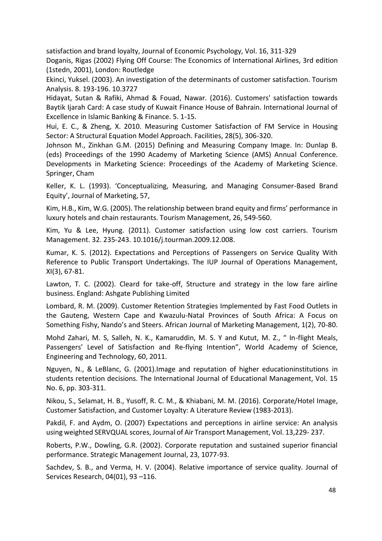satisfaction and brand loyalty, Journal of Economic Psychology, Vol. 16, 311-329

Doganis, Rigas (2002) Flying Off Course: The Economics of International Airlines, 3rd edition (1stedn, 2001), London: Routledge

Ekinci, Yuksel. (2003). An investigation of the determinants of customer satisfaction. Tourism Analysis. 8. 193-196. 10.3727

Hidayat, Sutan & Rafiki, Ahmad & Fouad, Nawar. (2016). Customers' satisfaction towards Baytik Ijarah Card: A case study of Kuwait Finance House of Bahrain. International Journal of Excellence in Islamic Banking & Finance. 5. 1-15.

Hui, E. C., & Zheng, X. 2010. Measuring Customer Satisfaction of FM Service in Housing Sector: A Structural Equation Model Approach. Facilities, 28(5), 306-320.

Johnson M., Zinkhan G.M. (2015) Defining and Measuring Company Image. In: Dunlap B. (eds) Proceedings of the 1990 Academy of Marketing Science (AMS) Annual Conference. Developments in Marketing Science: Proceedings of the Academy of Marketing Science. Springer, Cham

Keller, K. L. (1993). 'Conceptualizing, Measuring, and Managing Consumer-Based Brand Equity', Journal of Marketing, 57,

Kim, H.B., Kim, W.G. (2005). The relationship between brand equity and firms' performance in luxury hotels and chain restaurants. Tourism Management, 26, 549-560.

Kim, Yu & Lee, Hyung. (2011). Customer satisfaction using low cost carriers. Tourism Management. 32. 235-243. 10.1016/j.tourman.2009.12.008.

Kumar, K. S. (2012). Expectations and Perceptions of Passengers on Service Quality With Reference to Public Transport Undertakings. The IUP Journal of Operations Management, XI(3), 67-81.

Lawton, T. C. (2002). Cleard for take-off, Structure and strategy in the low fare airline business. England: Ashgate Publishing Limited

Lombard, R. M. (2009). Customer Retention Strategies Implemented by Fast Food Outlets in the Gauteng, Western Cape and Kwazulu-Natal Provinces of South Africa: A Focus on Something Fishy, Nando's and Steers. African Journal of Marketing Management, 1(2), 70-80.

Mohd Zahari, M. S, Salleh, N. K., Kamaruddin, M. S. Y and Kutut, M. Z., " In-flight Meals, Passengers' Level of Satisfaction and Re-flying Intention", World Academy of Science, Engineering and Technology, 60, 2011.

Nguyen, N., & LeBlanc, G. (2001).Image and reputation of higher educationinstitutions in students retention decisions. The International Journal of Educational Management, Vol. 15 No. 6, pp. 303-311.

Nikou, S., Selamat, H. B., Yusoff, R. C. M., & Khiabani, M. M. (2016). Corporate/Hotel Image, Customer Satisfaction, and Customer Loyalty: A Literature Review (1983-2013).

Pakdil, F. and Aydm, O. (2007) Expectations and perceptions in airline service: An analysis using weighted SERVQUAL scores, Journal of Air Transport Management, Vol. 13,229- 237.

Roberts, P.W., Dowling, G.R. (2002). Corporate reputation and sustained superior financial performance. Strategic Management Journal, 23, 1077-93.

Sachdev, S. B., and Verma, H. V. (2004). Relative importance of service quality. Journal of Services Research, 04(01), 93 –116.